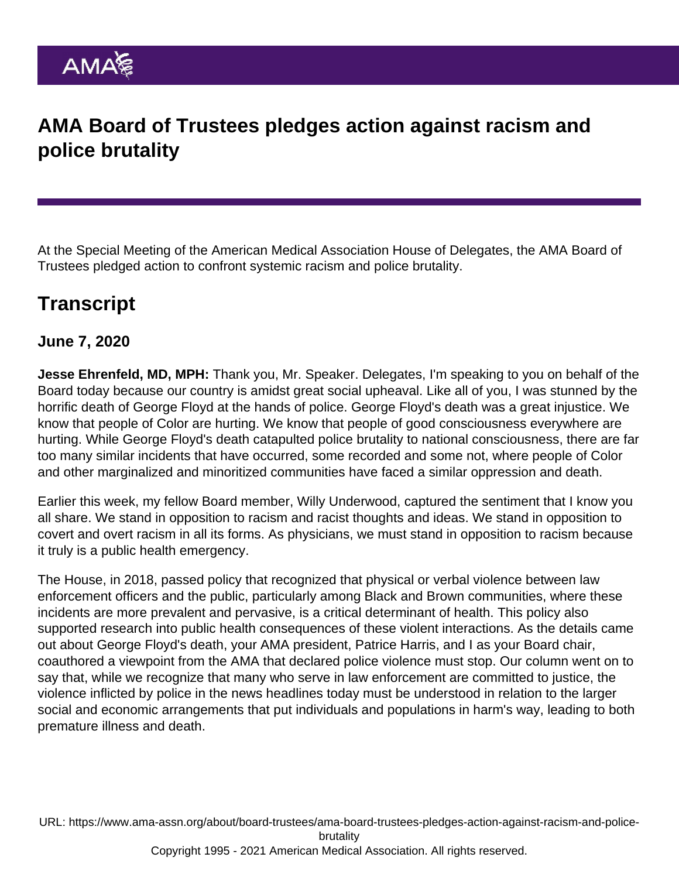## AMA Board of Trustees pledges action against racism and police brutality

At the Special Meeting of the American Medical Association House of Delegates, the AMA Board of Trustees pledged action to confront systemic racism and police brutality.

## **Transcript**

June 7, 2020

Jesse Ehrenfeld, MD, MPH: Thank you, Mr. Speaker. Delegates, I'm speaking to you on behalf of the Board today because our country is amidst great social upheaval. Like all of you, I was stunned by the horrific death of George Floyd at the hands of police. George Floyd's death was a great injustice. We know that people of Color are hurting. We know that people of good consciousness everywhere are hurting. While George Floyd's death catapulted police brutality to national consciousness, there are far too many similar incidents that have occurred, some recorded and some not, where people of Color and other marginalized and minoritized communities have faced a similar oppression and death.

Earlier this week, my fellow Board member, Willy Underwood, captured the sentiment that I know you all share. We stand in opposition to racism and racist thoughts and ideas. We stand in opposition to covert and overt racism in all its forms. As physicians, we must stand in opposition to racism because it truly is a public health emergency.

The House, in 2018, passed policy that recognized that physical or verbal violence between law enforcement officers and the public, particularly among Black and Brown communities, where these incidents are more prevalent and pervasive, is a critical determinant of health. This policy also supported research into public health consequences of these violent interactions. As the details came out about George Floyd's death, your AMA president, Patrice Harris, and I as your Board chair, coauthored a viewpoint from the AMA that declared police violence must stop. Our column went on to say that, while we recognize that many who serve in law enforcement are committed to justice, the violence inflicted by police in the news headlines today must be understood in relation to the larger social and economic arrangements that put individuals and populations in harm's way, leading to both premature illness and death.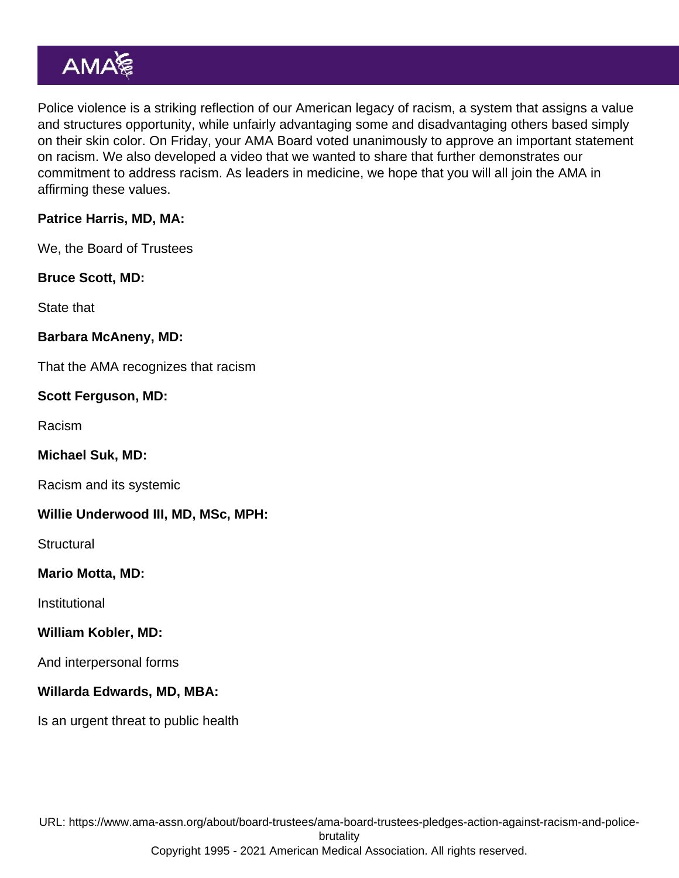Police violence is a striking reflection of our American legacy of racism, a system that assigns a value and structures opportunity, while unfairly advantaging some and disadvantaging others based simply on their skin color. On Friday, your AMA Board voted unanimously to approve an important statement on racism. We also developed a video that we wanted to share that further demonstrates our commitment to address racism. As leaders in medicine, we hope that you will all join the AMA in affirming these values.

Patrice Harris, MD, MA:

We, the Board of Trustees

Bruce Scott, MD:

State that

Barbara McAneny, MD:

That the AMA recognizes that racism

Scott Ferguson, MD:

Racism

Michael Suk, MD:

Racism and its systemic

Willie Underwood III, MD, MSc, MPH:

**Structural** 

Mario Motta, MD:

Institutional

William Kobler, MD:

And interpersonal forms

Willarda Edwards, MD, MBA:

Is an urgent threat to public health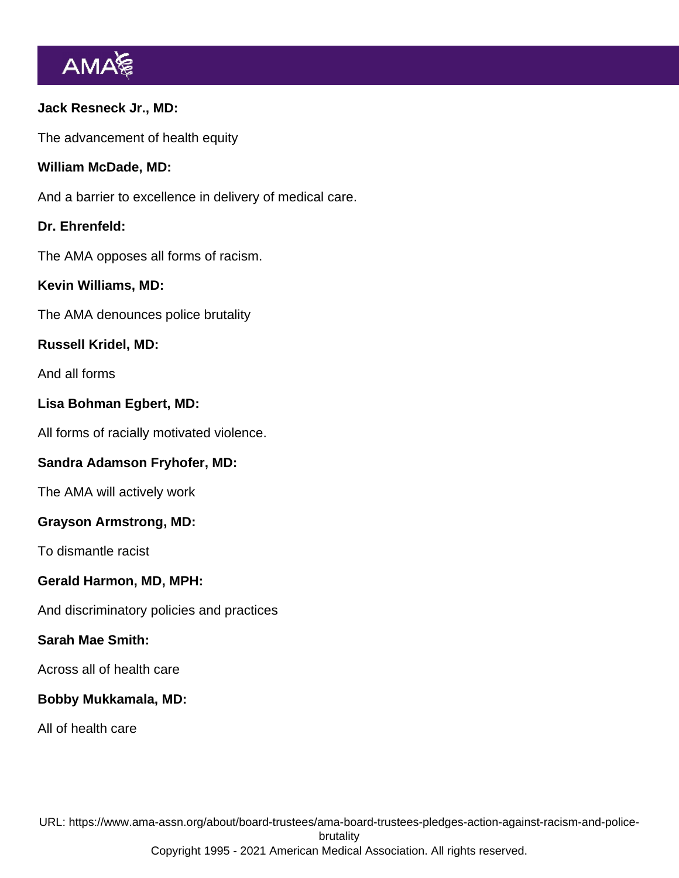Jack Resneck Jr., MD: The advancement of health equity William McDade, MD: And a barrier to excellence in delivery of medical care. Dr. Ehrenfeld: The AMA opposes all forms of racism. Kevin Williams, MD: The AMA denounces police brutality Russell Kridel, MD: And all forms Lisa Bohman Egbert, MD: All forms of racially motivated violence. Sandra Adamson Fryhofer, MD: The AMA will actively work Grayson Armstrong, MD: To dismantle racist Gerald Harmon, MD, MPH: And discriminatory policies and practices Sarah Mae Smith: Across all of health care Bobby Mukkamala, MD: All of health care